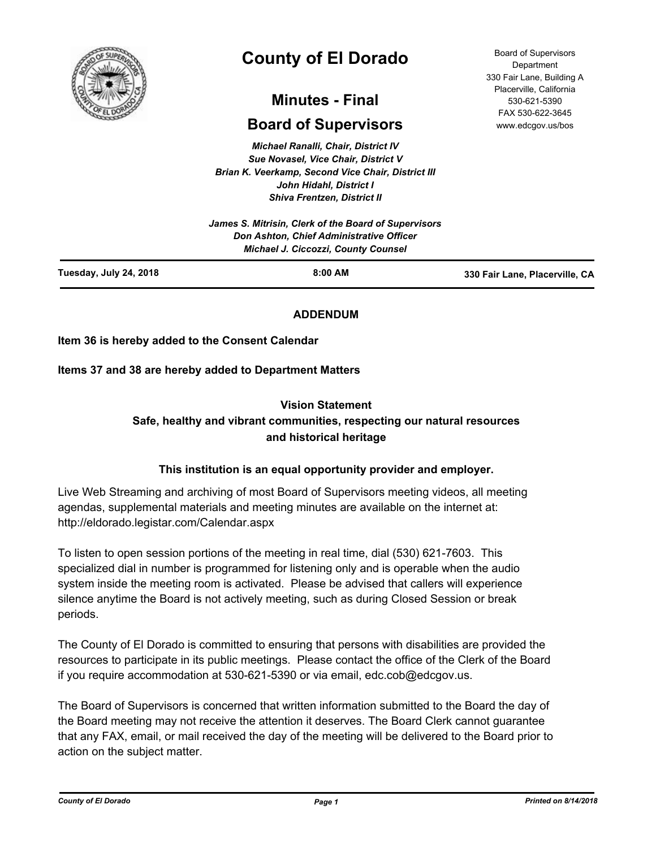

# **County of El Dorado**

## **Minutes - Final**

## **Board of Supervisors**

*Michael Ranalli, Chair, District IV Sue Novasel, Vice Chair, District V Brian K. Veerkamp, Second Vice Chair, District III John Hidahl, District I Shiva Frentzen, District II*

| Tuesday, July 24, 2018<br>$8:00$ AM                                                    | 330 Fair Lane, Placerville, CA |  |
|----------------------------------------------------------------------------------------|--------------------------------|--|
| Don Ashton, Chief Administrative Officer<br><b>Michael J. Ciccozzi, County Counsel</b> |                                |  |
| James S. Mitrisin, Clerk of the Board of Supervisors                                   |                                |  |

#### **ADDENDUM**

**Item 36 is hereby added to the Consent Calendar**

**Items 37 and 38 are hereby added to Department Matters**

#### **Vision Statement**

### **Safe, healthy and vibrant communities, respecting our natural resources and historical heritage**

#### **This institution is an equal opportunity provider and employer.**

Live Web Streaming and archiving of most Board of Supervisors meeting videos, all meeting agendas, supplemental materials and meeting minutes are available on the internet at: http://eldorado.legistar.com/Calendar.aspx

To listen to open session portions of the meeting in real time, dial (530) 621-7603. This specialized dial in number is programmed for listening only and is operable when the audio system inside the meeting room is activated. Please be advised that callers will experience silence anytime the Board is not actively meeting, such as during Closed Session or break periods.

The County of El Dorado is committed to ensuring that persons with disabilities are provided the resources to participate in its public meetings. Please contact the office of the Clerk of the Board if you require accommodation at 530-621-5390 or via email, edc.cob@edcgov.us.

The Board of Supervisors is concerned that written information submitted to the Board the day of the Board meeting may not receive the attention it deserves. The Board Clerk cannot guarantee that any FAX, email, or mail received the day of the meeting will be delivered to the Board prior to action on the subject matter.

Board of Supervisors Department 330 Fair Lane, Building A Placerville, California 530-621-5390 FAX 530-622-3645 www.edcgov.us/bos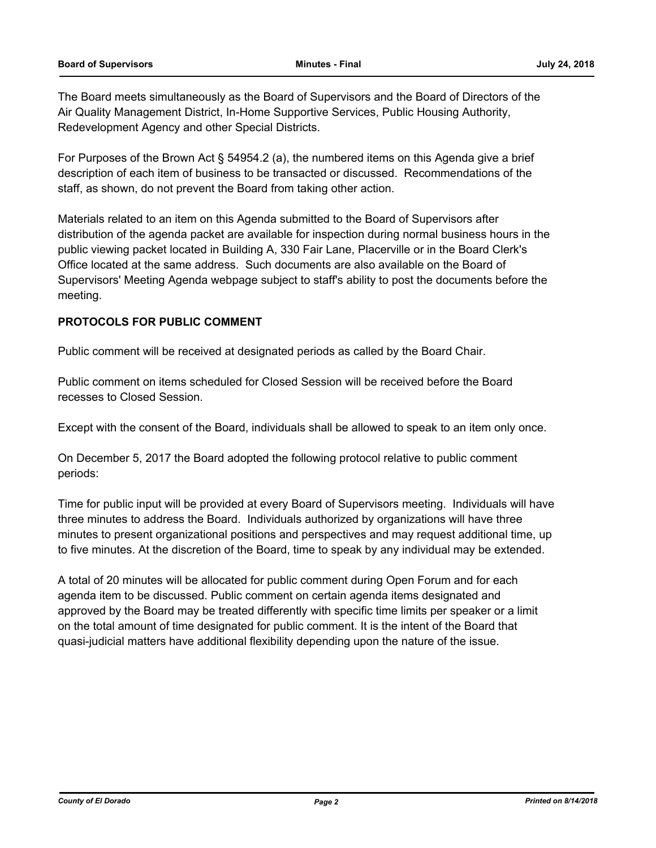The Board meets simultaneously as the Board of Supervisors and the Board of Directors of the Air Quality Management District, In-Home Supportive Services, Public Housing Authority, Redevelopment Agency and other Special Districts.

For Purposes of the Brown Act § 54954.2 (a), the numbered items on this Agenda give a brief description of each item of business to be transacted or discussed. Recommendations of the staff, as shown, do not prevent the Board from taking other action.

Materials related to an item on this Agenda submitted to the Board of Supervisors after distribution of the agenda packet are available for inspection during normal business hours in the public viewing packet located in Building A, 330 Fair Lane, Placerville or in the Board Clerk's Office located at the same address. Such documents are also available on the Board of Supervisors' Meeting Agenda webpage subject to staff's ability to post the documents before the meeting.

#### **PROTOCOLS FOR PUBLIC COMMENT**

Public comment will be received at designated periods as called by the Board Chair.

Public comment on items scheduled for Closed Session will be received before the Board recesses to Closed Session.

Except with the consent of the Board, individuals shall be allowed to speak to an item only once.

On December 5, 2017 the Board adopted the following protocol relative to public comment periods:

Time for public input will be provided at every Board of Supervisors meeting. Individuals will have three minutes to address the Board. Individuals authorized by organizations will have three minutes to present organizational positions and perspectives and may request additional time, up to five minutes. At the discretion of the Board, time to speak by any individual may be extended.

A total of 20 minutes will be allocated for public comment during Open Forum and for each agenda item to be discussed. Public comment on certain agenda items designated and approved by the Board may be treated differently with specific time limits per speaker or a limit on the total amount of time designated for public comment. It is the intent of the Board that quasi-judicial matters have additional flexibility depending upon the nature of the issue.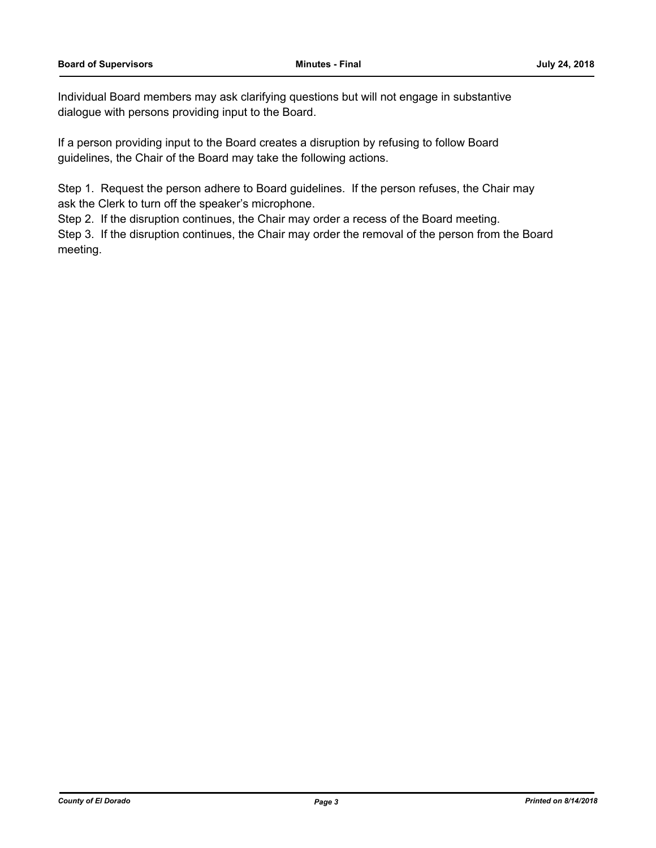Individual Board members may ask clarifying questions but will not engage in substantive dialogue with persons providing input to the Board.

If a person providing input to the Board creates a disruption by refusing to follow Board guidelines, the Chair of the Board may take the following actions.

Step 1. Request the person adhere to Board guidelines. If the person refuses, the Chair may ask the Clerk to turn off the speaker's microphone.

Step 2. If the disruption continues, the Chair may order a recess of the Board meeting.

Step 3. If the disruption continues, the Chair may order the removal of the person from the Board meeting.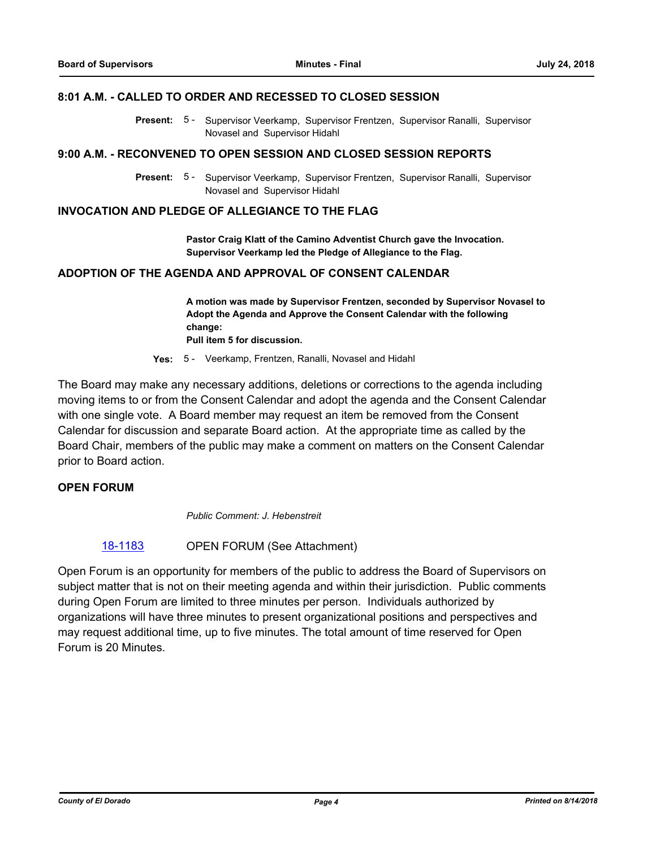#### **8:01 A.M. - CALLED TO ORDER AND RECESSED TO CLOSED SESSION**

Present: 5 - Supervisor Veerkamp, Supervisor Frentzen, Supervisor Ranalli, Supervisor Novasel and Supervisor Hidahl

#### **9:00 A.M. - RECONVENED TO OPEN SESSION AND CLOSED SESSION REPORTS**

Present: 5 - Supervisor Veerkamp, Supervisor Frentzen, Supervisor Ranalli, Supervisor Novasel and Supervisor Hidahl

#### **INVOCATION AND PLEDGE OF ALLEGIANCE TO THE FLAG**

**Pastor Craig Klatt of the Camino Adventist Church gave the Invocation. Supervisor Veerkamp led the Pledge of Allegiance to the Flag.**

#### **ADOPTION OF THE AGENDA AND APPROVAL OF CONSENT CALENDAR**

**A motion was made by Supervisor Frentzen, seconded by Supervisor Novasel to Adopt the Agenda and Approve the Consent Calendar with the following change: Pull item 5 for discussion.**

**Yes:** 5 - Veerkamp, Frentzen, Ranalli, Novasel and Hidahl

The Board may make any necessary additions, deletions or corrections to the agenda including moving items to or from the Consent Calendar and adopt the agenda and the Consent Calendar with one single vote. A Board member may request an item be removed from the Consent Calendar for discussion and separate Board action. At the appropriate time as called by the Board Chair, members of the public may make a comment on matters on the Consent Calendar prior to Board action.

#### **OPEN FORUM**

*Public Comment: J. Hebenstreit*

#### [18-1183](http://eldorado.legistar.com/gateway.aspx?m=l&id=/matter.aspx?key=24533) OPEN FORUM (See Attachment)

Open Forum is an opportunity for members of the public to address the Board of Supervisors on subject matter that is not on their meeting agenda and within their jurisdiction. Public comments during Open Forum are limited to three minutes per person. Individuals authorized by organizations will have three minutes to present organizational positions and perspectives and may request additional time, up to five minutes. The total amount of time reserved for Open Forum is 20 Minutes.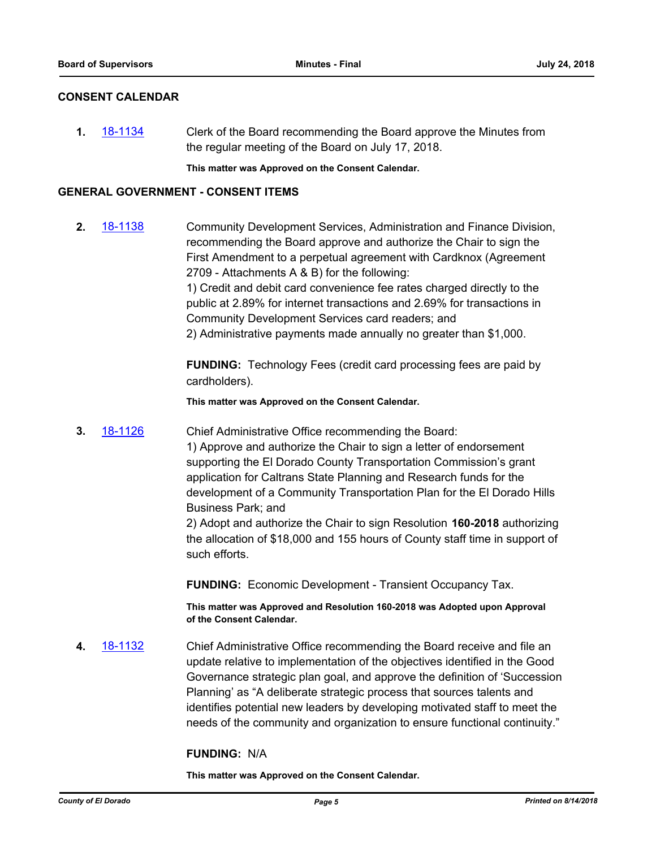#### **CONSENT CALENDAR**

**1.** [18-1134](http://eldorado.legistar.com/gateway.aspx?m=l&id=/matter.aspx?key=24484) Clerk of the Board recommending the Board approve the Minutes from the regular meeting of the Board on July 17, 2018.

**This matter was Approved on the Consent Calendar.**

#### **GENERAL GOVERNMENT - CONSENT ITEMS**

**2.** [18-1138](http://eldorado.legistar.com/gateway.aspx?m=l&id=/matter.aspx?key=24488) Community Development Services, Administration and Finance Division, recommending the Board approve and authorize the Chair to sign the First Amendment to a perpetual agreement with Cardknox (Agreement 2709 - Attachments A & B) for the following: 1) Credit and debit card convenience fee rates charged directly to the public at 2.89% for internet transactions and 2.69% for transactions in Community Development Services card readers; and 2) Administrative payments made annually no greater than \$1,000.

> **FUNDING:** Technology Fees (credit card processing fees are paid by cardholders).

**This matter was Approved on the Consent Calendar.**

**3.** [18-1126](http://eldorado.legistar.com/gateway.aspx?m=l&id=/matter.aspx?key=24476) Chief Administrative Office recommending the Board: 1) Approve and authorize the Chair to sign a letter of endorsement supporting the El Dorado County Transportation Commission's grant application for Caltrans State Planning and Research funds for the development of a Community Transportation Plan for the El Dorado Hills Business Park; and

2) Adopt and authorize the Chair to sign Resolution **160-2018** authorizing the allocation of \$18,000 and 155 hours of County staff time in support of such efforts.

**FUNDING:** Economic Development - Transient Occupancy Tax.

**This matter was Approved and Resolution 160-2018 was Adopted upon Approval of the Consent Calendar.**

**4.** [18-1132](http://eldorado.legistar.com/gateway.aspx?m=l&id=/matter.aspx?key=24482) Chief Administrative Office recommending the Board receive and file an update relative to implementation of the objectives identified in the Good Governance strategic plan goal, and approve the definition of 'Succession Planning' as "A deliberate strategic process that sources talents and identifies potential new leaders by developing motivated staff to meet the needs of the community and organization to ensure functional continuity."

#### **FUNDING:** N/A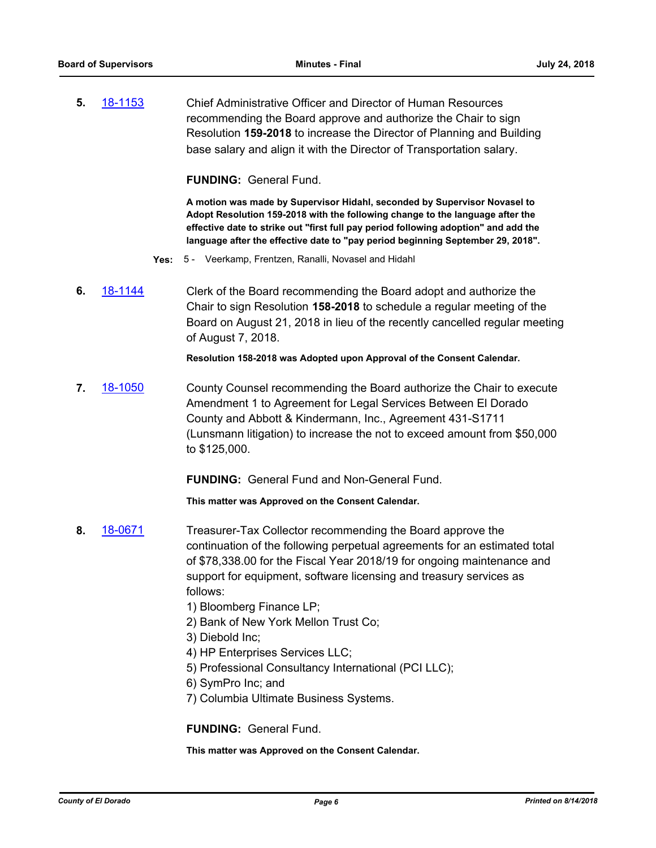**5.** [18-1153](http://eldorado.legistar.com/gateway.aspx?m=l&id=/matter.aspx?key=24503) Chief Administrative Officer and Director of Human Resources recommending the Board approve and authorize the Chair to sign Resolution **159-2018** to increase the Director of Planning and Building base salary and align it with the Director of Transportation salary.

**FUNDING:** General Fund.

**A motion was made by Supervisor Hidahl, seconded by Supervisor Novasel to Adopt Resolution 159-2018 with the following change to the language after the effective date to strike out "first full pay period following adoption" and add the language after the effective date to "pay period beginning September 29, 2018".**

- **Yes:** 5 Veerkamp, Frentzen, Ranalli, Novasel and Hidahl
- **6.** [18-1144](http://eldorado.legistar.com/gateway.aspx?m=l&id=/matter.aspx?key=24494) Clerk of the Board recommending the Board adopt and authorize the Chair to sign Resolution **158-2018** to schedule a regular meeting of the Board on August 21, 2018 in lieu of the recently cancelled regular meeting of August 7, 2018.

**Resolution 158-2018 was Adopted upon Approval of the Consent Calendar.**

**7.** [18-1050](http://eldorado.legistar.com/gateway.aspx?m=l&id=/matter.aspx?key=24399) County Counsel recommending the Board authorize the Chair to execute Amendment 1 to Agreement for Legal Services Between El Dorado County and Abbott & Kindermann, Inc., Agreement 431-S1711 (Lunsmann litigation) to increase the not to exceed amount from \$50,000 to \$125,000.

**FUNDING:** General Fund and Non-General Fund.

**This matter was Approved on the Consent Calendar.**

- **8.** [18-0671](http://eldorado.legistar.com/gateway.aspx?m=l&id=/matter.aspx?key=24016) Treasurer-Tax Collector recommending the Board approve the continuation of the following perpetual agreements for an estimated total of \$78,338.00 for the Fiscal Year 2018/19 for ongoing maintenance and support for equipment, software licensing and treasury services as follows:
	- 1) Bloomberg Finance LP;
	- 2) Bank of New York Mellon Trust Co;
	- 3) Diebold Inc;
	- 4) HP Enterprises Services LLC;
	- 5) Professional Consultancy International (PCI LLC);
	- 6) SymPro Inc; and
	- 7) Columbia Ultimate Business Systems.

**FUNDING:** General Fund.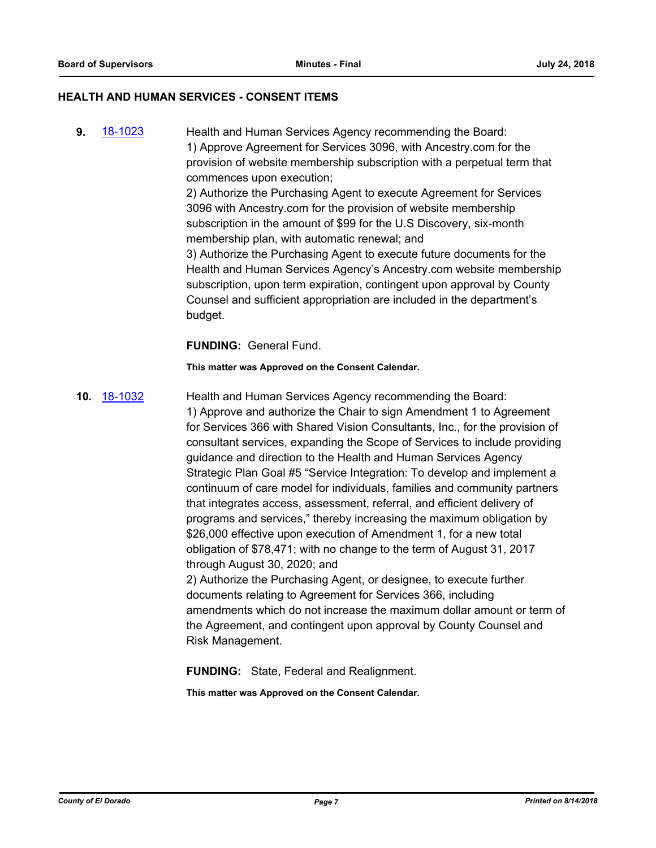#### **HEALTH AND HUMAN SERVICES - CONSENT ITEMS**

**9.** [18-1023](http://eldorado.legistar.com/gateway.aspx?m=l&id=/matter.aspx?key=24372) Health and Human Services Agency recommending the Board: 1) Approve Agreement for Services 3096, with Ancestry.com for the provision of website membership subscription with a perpetual term that commences upon execution; 2) Authorize the Purchasing Agent to execute Agreement for Services 3096 with Ancestry.com for the provision of website membership subscription in the amount of \$99 for the U.S Discovery, six-month membership plan, with automatic renewal; and 3) Authorize the Purchasing Agent to execute future documents for the Health and Human Services Agency's Ancestry.com website membership subscription, upon term expiration, contingent upon approval by County Counsel and sufficient appropriation are included in the department's budget.

**FUNDING:** General Fund.

**This matter was Approved on the Consent Calendar.**

**10.** [18-1032](http://eldorado.legistar.com/gateway.aspx?m=l&id=/matter.aspx?key=24381) Health and Human Services Agency recommending the Board: 1) Approve and authorize the Chair to sign Amendment 1 to Agreement for Services 366 with Shared Vision Consultants, Inc., for the provision of consultant services, expanding the Scope of Services to include providing guidance and direction to the Health and Human Services Agency Strategic Plan Goal #5 "Service Integration: To develop and implement a continuum of care model for individuals, families and community partners that integrates access, assessment, referral, and efficient delivery of programs and services," thereby increasing the maximum obligation by \$26,000 effective upon execution of Amendment 1, for a new total obligation of \$78,471; with no change to the term of August 31, 2017 through August 30, 2020; and 2) Authorize the Purchasing Agent, or designee, to execute further documents relating to Agreement for Services 366, including amendments which do not increase the maximum dollar amount or term of the Agreement, and contingent upon approval by County Counsel and

Risk Management.

**FUNDING:** State, Federal and Realignment.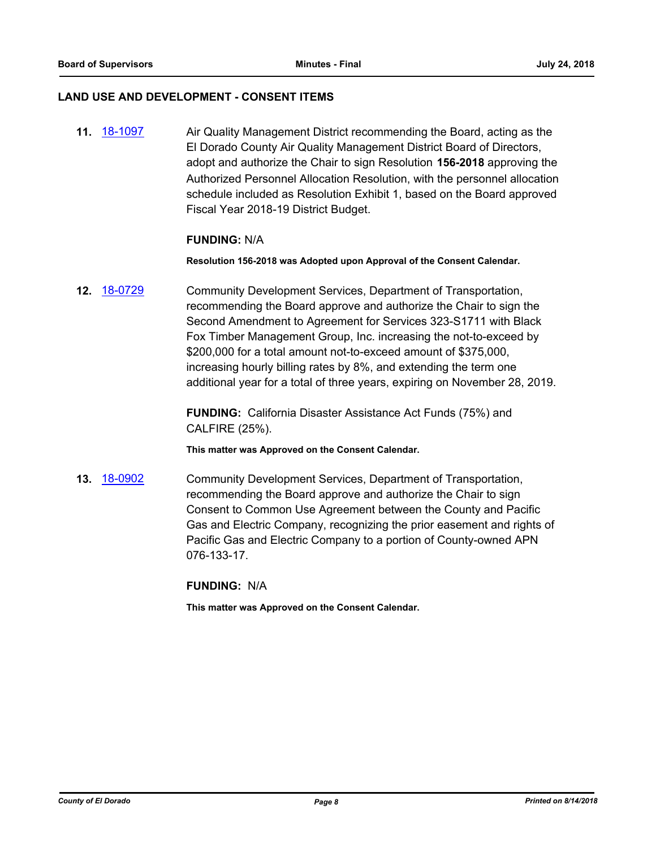#### **LAND USE AND DEVELOPMENT - CONSENT ITEMS**

**11.** [18-1097](http://eldorado.legistar.com/gateway.aspx?m=l&id=/matter.aspx?key=24447) Air Quality Management District recommending the Board, acting as the El Dorado County Air Quality Management District Board of Directors, adopt and authorize the Chair to sign Resolution **156-2018** approving the Authorized Personnel Allocation Resolution, with the personnel allocation schedule included as Resolution Exhibit 1, based on the Board approved Fiscal Year 2018-19 District Budget.

#### **FUNDING:** N/A

**Resolution 156-2018 was Adopted upon Approval of the Consent Calendar.**

**12.** [18-0729](http://eldorado.legistar.com/gateway.aspx?m=l&id=/matter.aspx?key=24076) Community Development Services, Department of Transportation, recommending the Board approve and authorize the Chair to sign the Second Amendment to Agreement for Services 323-S1711 with Black Fox Timber Management Group, Inc. increasing the not-to-exceed by \$200,000 for a total amount not-to-exceed amount of \$375,000, increasing hourly billing rates by 8%, and extending the term one additional year for a total of three years, expiring on November 28, 2019.

> **FUNDING:** California Disaster Assistance Act Funds (75%) and CALFIRE (25%).

**This matter was Approved on the Consent Calendar.**

**13.** [18-0902](http://eldorado.legistar.com/gateway.aspx?m=l&id=/matter.aspx?key=24250) Community Development Services, Department of Transportation, recommending the Board approve and authorize the Chair to sign Consent to Common Use Agreement between the County and Pacific Gas and Electric Company, recognizing the prior easement and rights of Pacific Gas and Electric Company to a portion of County-owned APN 076-133-17.

**FUNDING:** N/A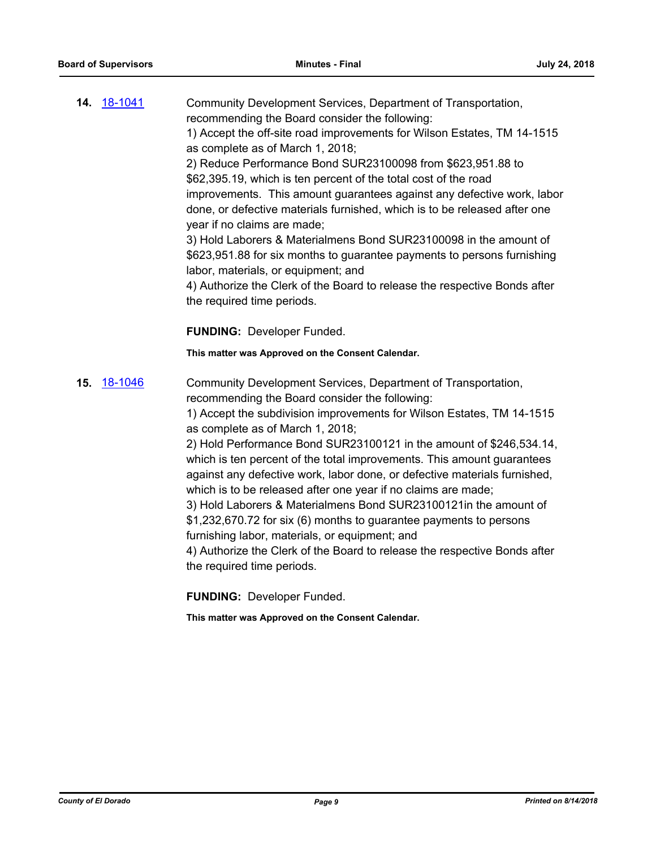|     | 14. 18-1041 | Community Development Services, Department of Transportation,                                                                                                                                                                                                                                                                                                    |
|-----|-------------|------------------------------------------------------------------------------------------------------------------------------------------------------------------------------------------------------------------------------------------------------------------------------------------------------------------------------------------------------------------|
|     |             | recommending the Board consider the following:                                                                                                                                                                                                                                                                                                                   |
|     |             | 1) Accept the off-site road improvements for Wilson Estates, TM 14-1515                                                                                                                                                                                                                                                                                          |
|     |             | as complete as of March 1, 2018;                                                                                                                                                                                                                                                                                                                                 |
|     |             | 2) Reduce Performance Bond SUR23100098 from \$623,951.88 to                                                                                                                                                                                                                                                                                                      |
|     |             | \$62,395.19, which is ten percent of the total cost of the road                                                                                                                                                                                                                                                                                                  |
|     |             | improvements. This amount guarantees against any defective work, labor<br>done, or defective materials furnished, which is to be released after one                                                                                                                                                                                                              |
|     |             | year if no claims are made;                                                                                                                                                                                                                                                                                                                                      |
|     |             | 3) Hold Laborers & Materialmens Bond SUR23100098 in the amount of<br>\$623,951.88 for six months to guarantee payments to persons furnishing<br>labor, materials, or equipment; and                                                                                                                                                                              |
|     |             | 4) Authorize the Clerk of the Board to release the respective Bonds after                                                                                                                                                                                                                                                                                        |
|     |             | the required time periods.                                                                                                                                                                                                                                                                                                                                       |
|     |             |                                                                                                                                                                                                                                                                                                                                                                  |
|     |             | <b>FUNDING: Developer Funded.</b>                                                                                                                                                                                                                                                                                                                                |
|     |             | This matter was Approved on the Consent Calendar.                                                                                                                                                                                                                                                                                                                |
| 15. | 18-1046     | Community Development Services, Department of Transportation,                                                                                                                                                                                                                                                                                                    |
|     |             | recommending the Board consider the following:                                                                                                                                                                                                                                                                                                                   |
|     |             | 1) Accept the subdivision improvements for Wilson Estates, TM 14-1515<br>as complete as of March 1, 2018;                                                                                                                                                                                                                                                        |
|     |             | 2) Hold Performance Bond SUR23100121 in the amount of \$246,534.14,<br>which is ten percent of the total improvements. This amount guarantees<br>against any defective work, labor done, or defective materials furnished,<br>which is to be released after one year if no claims are made;<br>3) Hold Laborers & Materialmens Bond SUR23100121 in the amount of |
|     |             | \$1,232,670.72 for six (6) months to guarantee payments to persons<br>furnishing labor, materials, or equipment; and                                                                                                                                                                                                                                             |
|     |             | 4) Authorize the Clerk of the Board to release the respective Bonds after<br>the required time periods.                                                                                                                                                                                                                                                          |
|     |             | <b>FUNDING: Developer Funded.</b>                                                                                                                                                                                                                                                                                                                                |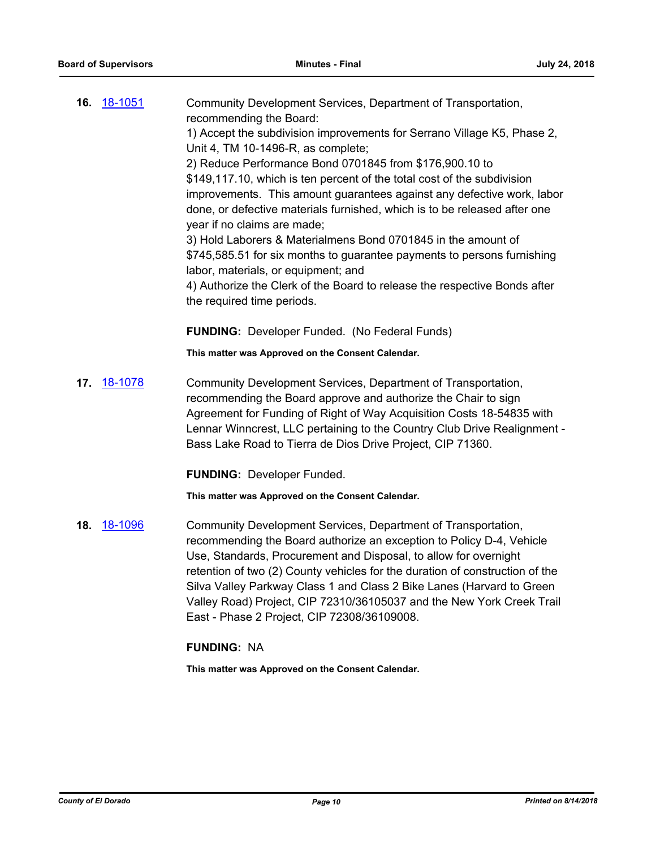|     | <b>16.</b> 18-1051 | Community Development Services, Department of Transportation,<br>recommending the Board:<br>1) Accept the subdivision improvements for Serrano Village K5, Phase 2,<br>Unit 4, TM 10-1496-R, as complete;<br>2) Reduce Performance Bond 0701845 from \$176,900.10 to<br>\$149,117.10, which is ten percent of the total cost of the subdivision<br>improvements. This amount guarantees against any defective work, labor<br>done, or defective materials furnished, which is to be released after one<br>year if no claims are made;<br>3) Hold Laborers & Materialmens Bond 0701845 in the amount of<br>\$745,585.51 for six months to guarantee payments to persons furnishing<br>labor, materials, or equipment; and<br>4) Authorize the Clerk of the Board to release the respective Bonds after |
|-----|--------------------|-------------------------------------------------------------------------------------------------------------------------------------------------------------------------------------------------------------------------------------------------------------------------------------------------------------------------------------------------------------------------------------------------------------------------------------------------------------------------------------------------------------------------------------------------------------------------------------------------------------------------------------------------------------------------------------------------------------------------------------------------------------------------------------------------------|
|     |                    | the required time periods.                                                                                                                                                                                                                                                                                                                                                                                                                                                                                                                                                                                                                                                                                                                                                                            |
|     |                    | <b>FUNDING: Developer Funded. (No Federal Funds)</b>                                                                                                                                                                                                                                                                                                                                                                                                                                                                                                                                                                                                                                                                                                                                                  |
|     |                    | This matter was Approved on the Consent Calendar.                                                                                                                                                                                                                                                                                                                                                                                                                                                                                                                                                                                                                                                                                                                                                     |
| 17. | <u>18-1078</u>     | Community Development Services, Department of Transportation,<br>recommending the Board approve and authorize the Chair to sign<br>Agreement for Funding of Right of Way Acquisition Costs 18-54835 with<br>Lennar Winncrest, LLC pertaining to the Country Club Drive Realignment -<br>Bass Lake Road to Tierra de Dios Drive Project, CIP 71360.                                                                                                                                                                                                                                                                                                                                                                                                                                                    |
|     |                    | <b>FUNDING: Developer Funded.</b>                                                                                                                                                                                                                                                                                                                                                                                                                                                                                                                                                                                                                                                                                                                                                                     |
|     |                    | This matter was Approved on the Consent Calendar.                                                                                                                                                                                                                                                                                                                                                                                                                                                                                                                                                                                                                                                                                                                                                     |
| 18. | <u>18-1096</u>     | Community Development Services, Department of Transportation,<br>recommending the Board authorize an exception to Policy D-4, Vehicle<br>Use, Standards, Procurement and Disposal, to allow for overnight<br>retention of two (2) County vehicles for the duration of construction of the<br>Silva Valley Parkway Class 1 and Class 2 Bike Lanes (Harvard to Green<br>Valley Road) Project, CIP 72310/36105037 and the New York Creek Trail<br>East - Phase 2 Project, CIP 72308/36109008.                                                                                                                                                                                                                                                                                                            |
|     |                    | <b>FUNDING: NA</b>                                                                                                                                                                                                                                                                                                                                                                                                                                                                                                                                                                                                                                                                                                                                                                                    |
|     |                    | This matter was Approved on the Consent Calendar.                                                                                                                                                                                                                                                                                                                                                                                                                                                                                                                                                                                                                                                                                                                                                     |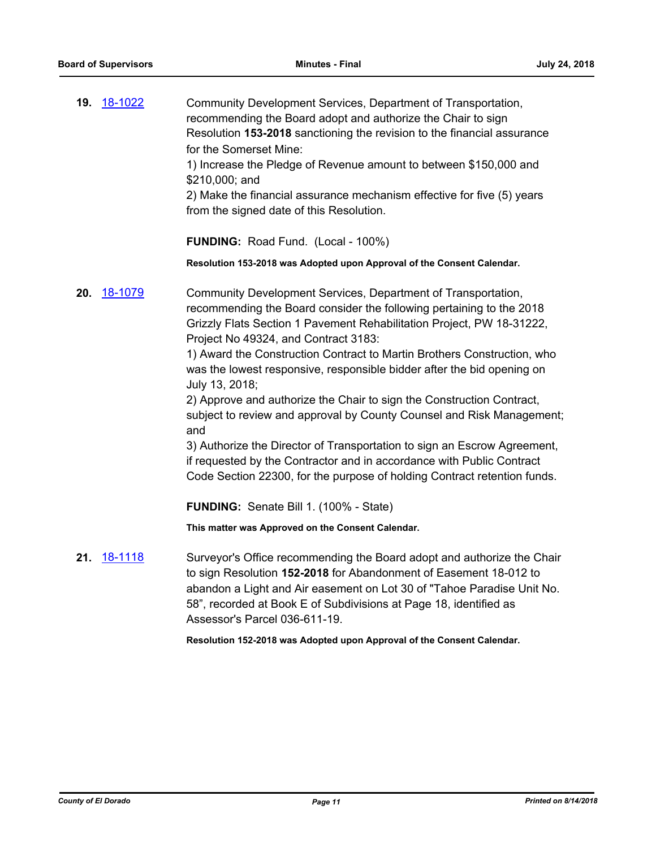**19.** [18-1022](http://eldorado.legistar.com/gateway.aspx?m=l&id=/matter.aspx?key=24371) Community Development Services, Department of Transportation, recommending the Board adopt and authorize the Chair to sign Resolution **153-2018** sanctioning the revision to the financial assurance for the Somerset Mine: 1) Increase the Pledge of Revenue amount to between \$150,000 and \$210,000; and 2) Make the financial assurance mechanism effective for five (5) years from the signed date of this Resolution.

**FUNDING:** Road Fund. (Local - 100%)

**Resolution 153-2018 was Adopted upon Approval of the Consent Calendar.**

**20.** [18-1079](http://eldorado.legistar.com/gateway.aspx?m=l&id=/matter.aspx?key=24429) Community Development Services, Department of Transportation, recommending the Board consider the following pertaining to the 2018 Grizzly Flats Section 1 Pavement Rehabilitation Project, PW 18-31222, Project No 49324, and Contract 3183:

> 1) Award the Construction Contract to Martin Brothers Construction, who was the lowest responsive, responsible bidder after the bid opening on July 13, 2018;

2) Approve and authorize the Chair to sign the Construction Contract, subject to review and approval by County Counsel and Risk Management; and

3) Authorize the Director of Transportation to sign an Escrow Agreement, if requested by the Contractor and in accordance with Public Contract Code Section 22300, for the purpose of holding Contract retention funds.

**FUNDING:** Senate Bill 1. (100% - State)

**This matter was Approved on the Consent Calendar.**

**21.** [18-1118](http://eldorado.legistar.com/gateway.aspx?m=l&id=/matter.aspx?key=24468) Surveyor's Office recommending the Board adopt and authorize the Chair to sign Resolution **152-2018** for Abandonment of Easement 18-012 to abandon a Light and Air easement on Lot 30 of "Tahoe Paradise Unit No. 58", recorded at Book E of Subdivisions at Page 18, identified as Assessor's Parcel 036-611-19.

**Resolution 152-2018 was Adopted upon Approval of the Consent Calendar.**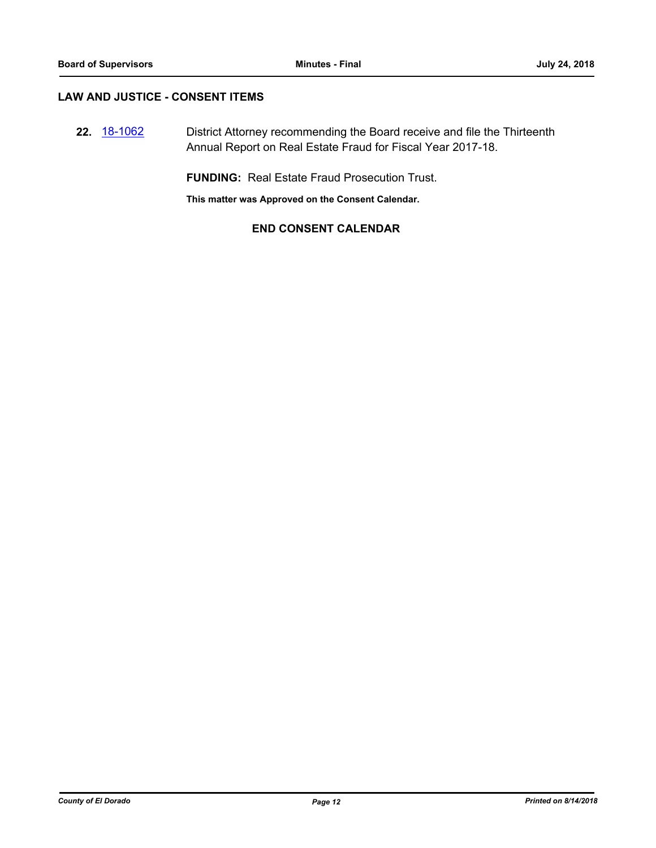#### **LAW AND JUSTICE - CONSENT ITEMS**

**22.** [18-1062](http://eldorado.legistar.com/gateway.aspx?m=l&id=/matter.aspx?key=24412) District Attorney recommending the Board receive and file the Thirteenth Annual Report on Real Estate Fraud for Fiscal Year 2017-18.

**FUNDING:** Real Estate Fraud Prosecution Trust.

**This matter was Approved on the Consent Calendar.**

#### **END CONSENT CALENDAR**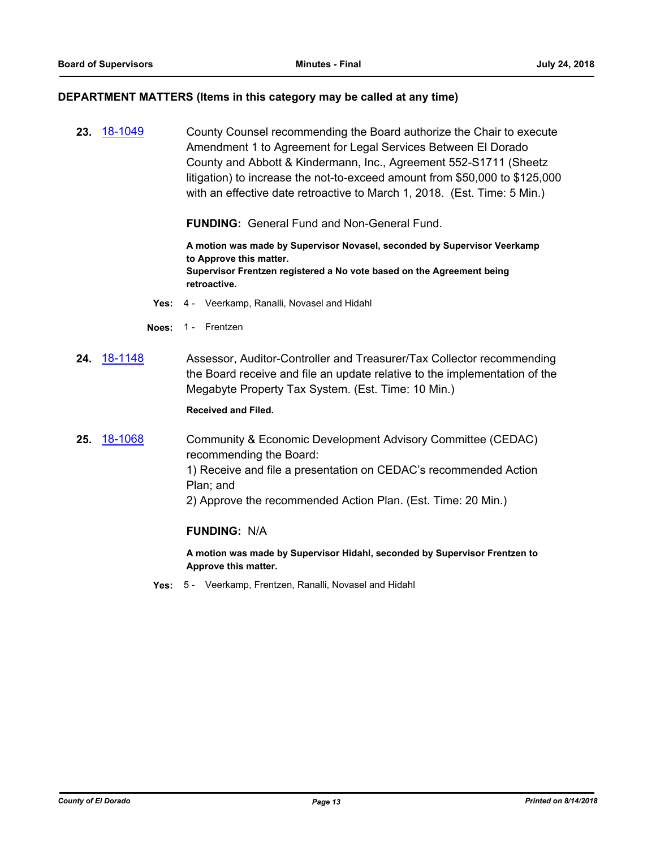#### **DEPARTMENT MATTERS (Items in this category may be called at any time)**

**23.** [18-1049](http://eldorado.legistar.com/gateway.aspx?m=l&id=/matter.aspx?key=24398) County Counsel recommending the Board authorize the Chair to execute Amendment 1 to Agreement for Legal Services Between El Dorado County and Abbott & Kindermann, Inc., Agreement 552-S1711 (Sheetz litigation) to increase the not-to-exceed amount from \$50,000 to \$125,000 with an effective date retroactive to March 1, 2018. (Est. Time: 5 Min.)

**FUNDING:** General Fund and Non-General Fund.

**A motion was made by Supervisor Novasel, seconded by Supervisor Veerkamp to Approve this matter. Supervisor Frentzen registered a No vote based on the Agreement being retroactive.**

- **Yes:** 4 Veerkamp, Ranalli, Novasel and Hidahl
- **Noes:** 1 Frentzen
- **24.** [18-1148](http://eldorado.legistar.com/gateway.aspx?m=l&id=/matter.aspx?key=24498) Assessor, Auditor-Controller and Treasurer/Tax Collector recommending the Board receive and file an update relative to the implementation of the Megabyte Property Tax System. (Est. Time: 10 Min.)

**Received and Filed.**

**25.** [18-1068](http://eldorado.legistar.com/gateway.aspx?m=l&id=/matter.aspx?key=24418) Community & Economic Development Advisory Committee (CEDAC) recommending the Board: 1) Receive and file a presentation on CEDAC's recommended Action Plan; and 2) Approve the recommended Action Plan. (Est. Time: 20 Min.)

#### **FUNDING:** N/A

**A motion was made by Supervisor Hidahl, seconded by Supervisor Frentzen to Approve this matter.**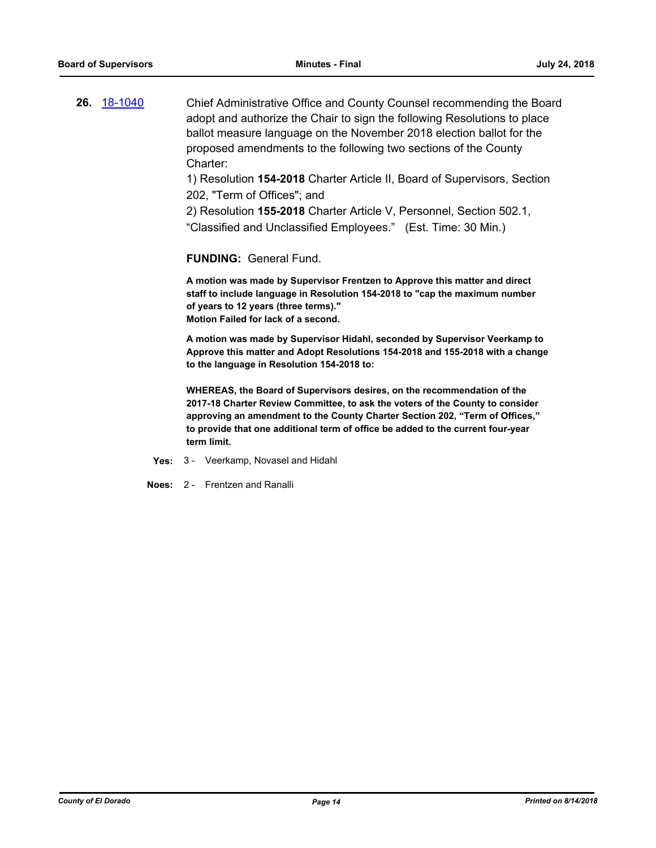**26.** [18-1040](http://eldorado.legistar.com/gateway.aspx?m=l&id=/matter.aspx?key=24389) Chief Administrative Office and County Counsel recommending the Board adopt and authorize the Chair to sign the following Resolutions to place ballot measure language on the November 2018 election ballot for the proposed amendments to the following two sections of the County Charter:

> 1) Resolution **154-2018** Charter Article II, Board of Supervisors, Section 202, "Term of Offices"; and

2) Resolution **155-2018** Charter Article V, Personnel, Section 502.1, "Classified and Unclassified Employees." (Est. Time: 30 Min.)

**FUNDING:** General Fund.

**A motion was made by Supervisor Frentzen to Approve this matter and direct staff to include language in Resolution 154-2018 to "cap the maximum number of years to 12 years (three terms)." Motion Failed for lack of a second.**

**A motion was made by Supervisor Hidahl, seconded by Supervisor Veerkamp to Approve this matter and Adopt Resolutions 154-2018 and 155-2018 with a change to the language in Resolution 154-2018 to:** 

**WHEREAS, the Board of Supervisors desires, on the recommendation of the 2017-18 Charter Review Committee, to ask the voters of the County to consider approving an amendment to the County Charter Section 202, "Term of Offices," to provide that one additional term of office be added to the current four-year term limit.**

- **Yes:** 3 Veerkamp, Novasel and Hidahl
- **Noes:** 2 Frentzen and Ranalli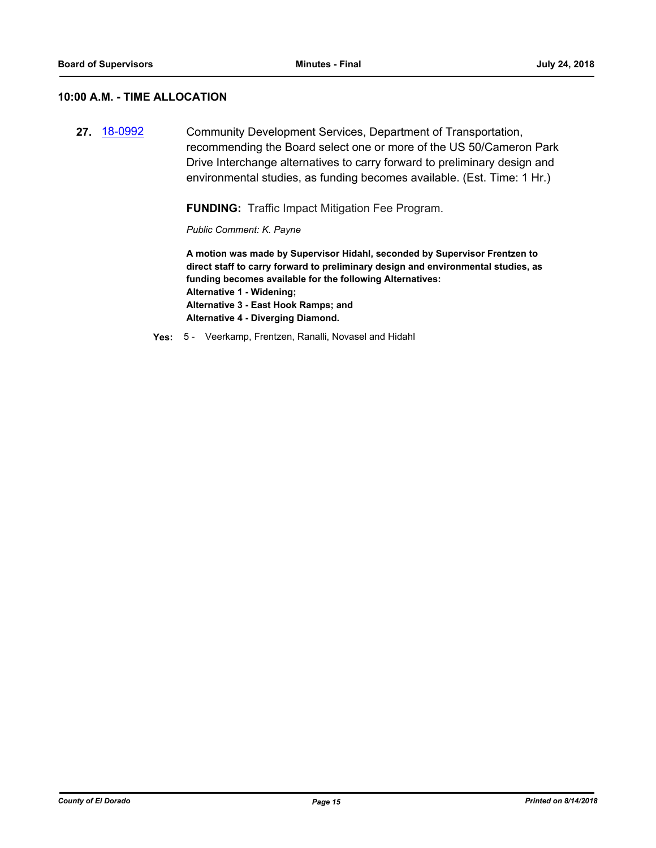#### **10:00 A.M. - TIME ALLOCATION**

**27.** [18-0992](http://eldorado.legistar.com/gateway.aspx?m=l&id=/matter.aspx?key=24341) Community Development Services, Department of Transportation, recommending the Board select one or more of the US 50/Cameron Park Drive Interchange alternatives to carry forward to preliminary design and environmental studies, as funding becomes available. (Est. Time: 1 Hr.)

**FUNDING:** Traffic Impact Mitigation Fee Program.

*Public Comment: K. Payne*

**A motion was made by Supervisor Hidahl, seconded by Supervisor Frentzen to direct staff to carry forward to preliminary design and environmental studies, as funding becomes available for the following Alternatives: Alternative 1 - Widening; Alternative 3 - East Hook Ramps; and Alternative 4 - Diverging Diamond.**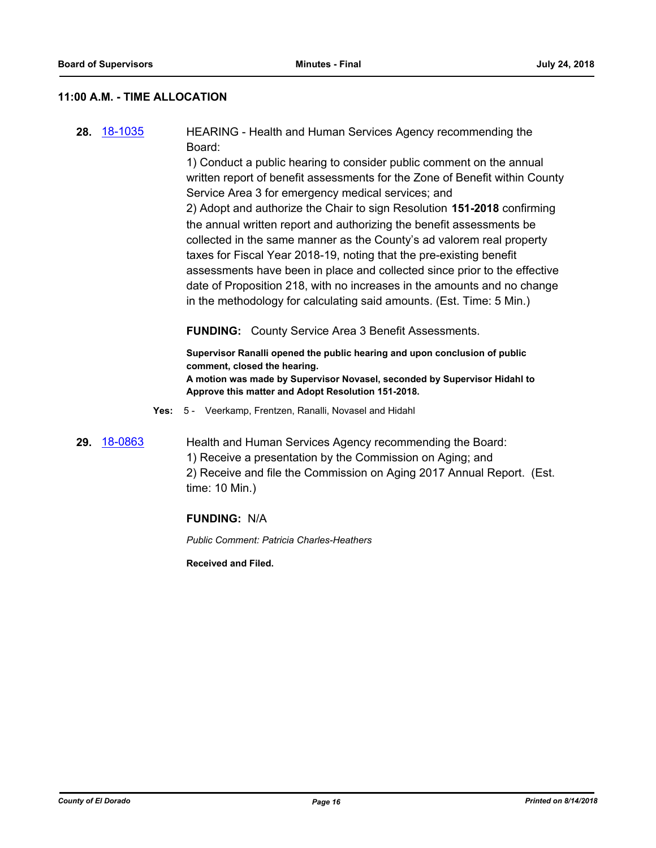#### **11:00 A.M. - TIME ALLOCATION**

**28.** [18-1035](http://eldorado.legistar.com/gateway.aspx?m=l&id=/matter.aspx?key=24384) HEARING - Health and Human Services Agency recommending the Board:

> 1) Conduct a public hearing to consider public comment on the annual written report of benefit assessments for the Zone of Benefit within County Service Area 3 for emergency medical services; and

> 2) Adopt and authorize the Chair to sign Resolution **151-2018** confirming the annual written report and authorizing the benefit assessments be collected in the same manner as the County's ad valorem real property taxes for Fiscal Year 2018-19, noting that the pre-existing benefit assessments have been in place and collected since prior to the effective date of Proposition 218, with no increases in the amounts and no change in the methodology for calculating said amounts. (Est. Time: 5 Min.)

**FUNDING:** County Service Area 3 Benefit Assessments.

**Supervisor Ranalli opened the public hearing and upon conclusion of public comment, closed the hearing. A motion was made by Supervisor Novasel, seconded by Supervisor Hidahl to Approve this matter and Adopt Resolution 151-2018.**

- **Yes:** 5 Veerkamp, Frentzen, Ranalli, Novasel and Hidahl
- **29.** [18-0863](http://eldorado.legistar.com/gateway.aspx?m=l&id=/matter.aspx?key=24210) Health and Human Services Agency recommending the Board: 1) Receive a presentation by the Commission on Aging; and 2) Receive and file the Commission on Aging 2017 Annual Report. (Est. time: 10 Min.)

#### **FUNDING:** N/A

*Public Comment: Patricia Charles-Heathers*

**Received and Filed.**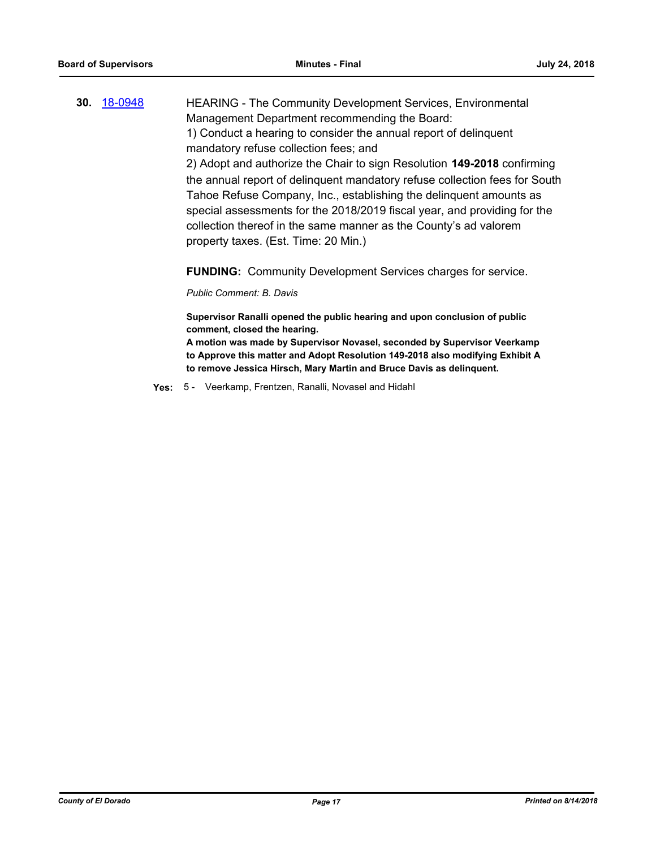**30.** [18-0948](http://eldorado.legistar.com/gateway.aspx?m=l&id=/matter.aspx?key=24296) HEARING - The Community Development Services, Environmental Management Department recommending the Board: 1) Conduct a hearing to consider the annual report of delinquent mandatory refuse collection fees; and 2) Adopt and authorize the Chair to sign Resolution **149-2018** confirming the annual report of delinquent mandatory refuse collection fees for South Tahoe Refuse Company, Inc., establishing the delinquent amounts as special assessments for the 2018/2019 fiscal year, and providing for the collection thereof in the same manner as the County's ad valorem property taxes. (Est. Time: 20 Min.)

**FUNDING:** Community Development Services charges for service.

*Public Comment: B. Davis*

**Supervisor Ranalli opened the public hearing and upon conclusion of public comment, closed the hearing.**

**A motion was made by Supervisor Novasel, seconded by Supervisor Veerkamp to Approve this matter and Adopt Resolution 149-2018 also modifying Exhibit A to remove Jessica Hirsch, Mary Martin and Bruce Davis as delinquent.**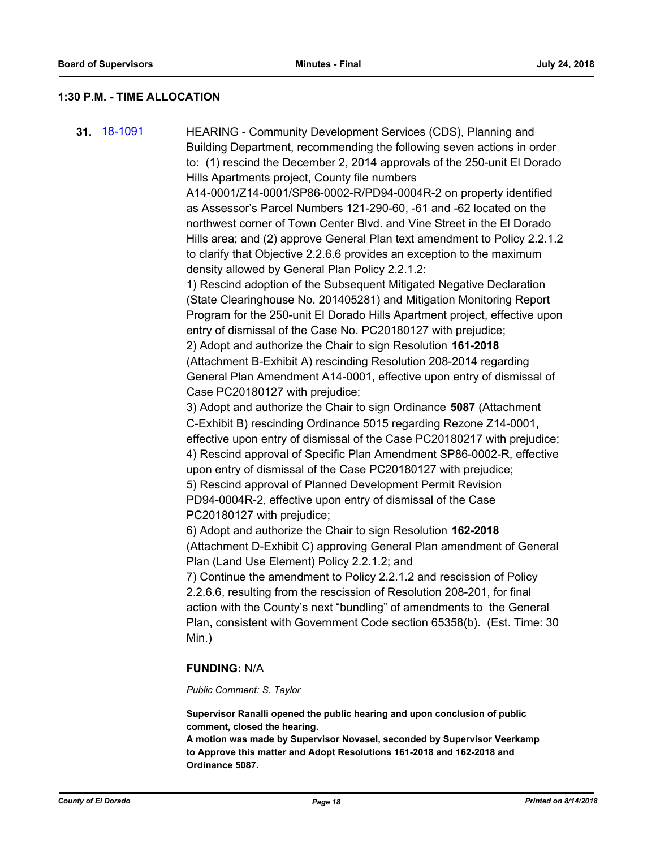#### **1:30 P.M. - TIME ALLOCATION**

**31.** [18-1091](http://eldorado.legistar.com/gateway.aspx?m=l&id=/matter.aspx?key=24441) HEARING - Community Development Services (CDS), Planning and Building Department, recommending the following seven actions in order to: (1) rescind the December 2, 2014 approvals of the 250-unit El Dorado Hills Apartments project, County file numbers A14-0001/Z14-0001/SP86-0002-R/PD94-0004R-2 on property identified as Assessor's Parcel Numbers 121-290-60, -61 and -62 located on the northwest corner of Town Center Blvd. and Vine Street in the El Dorado Hills area; and (2) approve General Plan text amendment to Policy 2.2.1.2 to clarify that Objective 2.2.6.6 provides an exception to the maximum density allowed by General Plan Policy 2.2.1.2: 1) Rescind adoption of the Subsequent Mitigated Negative Declaration (State Clearinghouse No. 201405281) and Mitigation Monitoring Report Program for the 250-unit El Dorado Hills Apartment project, effective upon entry of dismissal of the Case No. PC20180127 with prejudice; 2) Adopt and authorize the Chair to sign Resolution **161-2018** (Attachment B-Exhibit A) rescinding Resolution 208-2014 regarding General Plan Amendment A14-0001, effective upon entry of dismissal of Case PC20180127 with prejudice; 3) Adopt and authorize the Chair to sign Ordinance **5087** (Attachment C-Exhibit B) rescinding Ordinance 5015 regarding Rezone Z14-0001, effective upon entry of dismissal of the Case PC20180217 with prejudice; 4) Rescind approval of Specific Plan Amendment SP86-0002-R, effective upon entry of dismissal of the Case PC20180127 with prejudice; 5) Rescind approval of Planned Development Permit Revision PD94-0004R-2, effective upon entry of dismissal of the Case PC20180127 with prejudice; 6) Adopt and authorize the Chair to sign Resolution **162-2018** (Attachment D-Exhibit C) approving General Plan amendment of General Plan (Land Use Element) Policy 2.2.1.2; and 7) Continue the amendment to Policy 2.2.1.2 and rescission of Policy 2.2.6.6, resulting from the rescission of Resolution 208-201, for final action with the County's next "bundling" of amendments to the General Plan, consistent with Government Code section 65358(b). (Est. Time: 30 Min.) **FUNDING:** N/A

#### *Public Comment: S. Taylor*

**Supervisor Ranalli opened the public hearing and upon conclusion of public comment, closed the hearing.**

**A motion was made by Supervisor Novasel, seconded by Supervisor Veerkamp to Approve this matter and Adopt Resolutions 161-2018 and 162-2018 and Ordinance 5087.**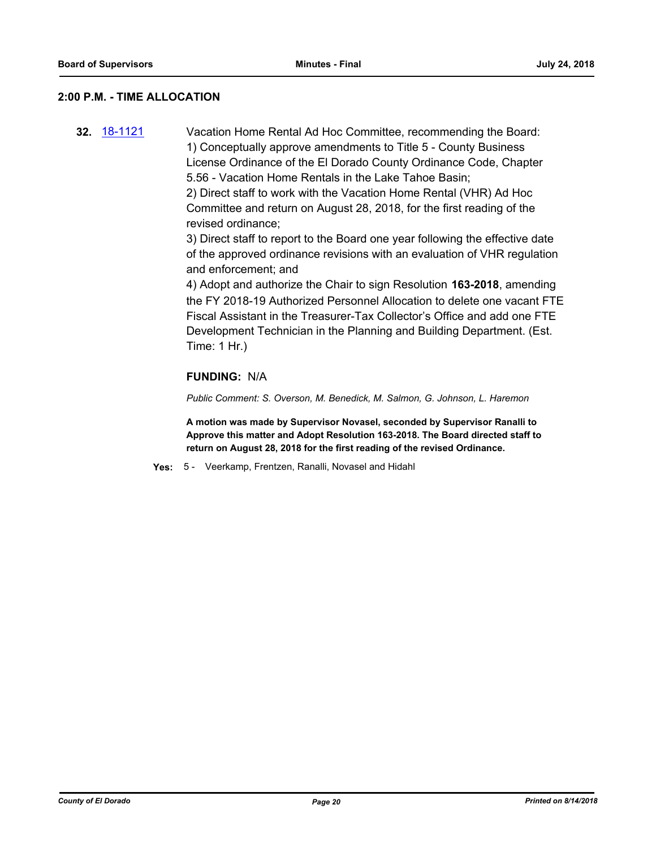#### **2:00 P.M. - TIME ALLOCATION**

**32.** [18-1121](http://eldorado.legistar.com/gateway.aspx?m=l&id=/matter.aspx?key=24471) Vacation Home Rental Ad Hoc Committee, recommending the Board: 1) Conceptually approve amendments to Title 5 - County Business License Ordinance of the El Dorado County Ordinance Code, Chapter 5.56 - Vacation Home Rentals in the Lake Tahoe Basin; 2) Direct staff to work with the Vacation Home Rental (VHR) Ad Hoc Committee and return on August 28, 2018, for the first reading of the revised ordinance;

> 3) Direct staff to report to the Board one year following the effective date of the approved ordinance revisions with an evaluation of VHR regulation and enforcement; and

4) Adopt and authorize the Chair to sign Resolution **163-2018**, amending the FY 2018-19 Authorized Personnel Allocation to delete one vacant FTE Fiscal Assistant in the Treasurer-Tax Collector's Office and add one FTE Development Technician in the Planning and Building Department. (Est. Time: 1 Hr.)

#### **FUNDING:** N/A

*Public Comment: S. Overson, M. Benedick, M. Salmon, G. Johnson, L. Haremon*

**A motion was made by Supervisor Novasel, seconded by Supervisor Ranalli to Approve this matter and Adopt Resolution 163-2018. The Board directed staff to return on August 28, 2018 for the first reading of the revised Ordinance.**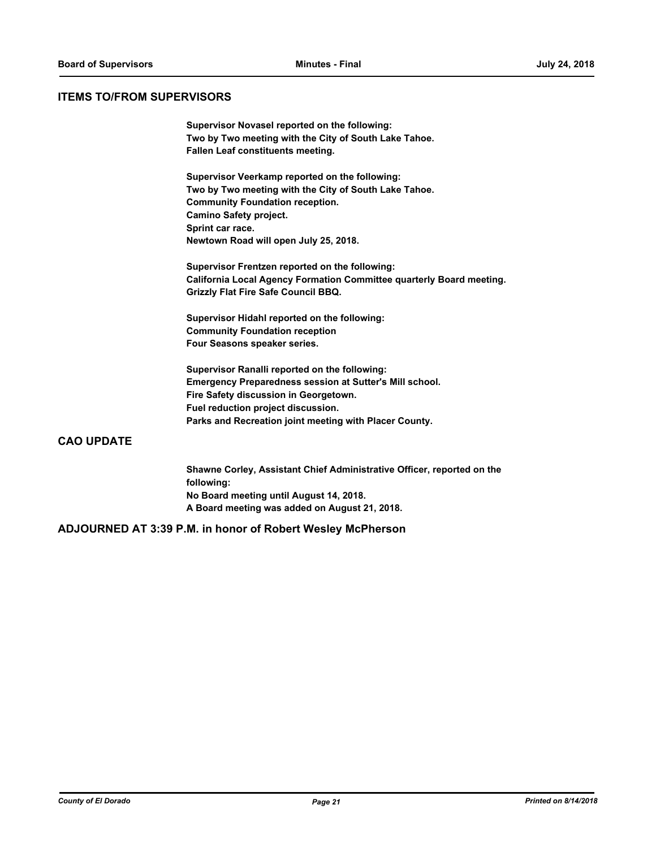#### **ITEMS TO/FROM SUPERVISORS**

**Supervisor Novasel reported on the following: Two by Two meeting with the City of South Lake Tahoe. Fallen Leaf constituents meeting.**

**Supervisor Veerkamp reported on the following: Two by Two meeting with the City of South Lake Tahoe. Community Foundation reception. Camino Safety project. Sprint car race. Newtown Road will open July 25, 2018.**

**Supervisor Frentzen reported on the following: California Local Agency Formation Committee quarterly Board meeting. Grizzly Flat Fire Safe Council BBQ.**

**Supervisor Hidahl reported on the following: Community Foundation reception Four Seasons speaker series.**

**Supervisor Ranalli reported on the following: Emergency Preparedness session at Sutter's Mill school. Fire Safety discussion in Georgetown. Fuel reduction project discussion. Parks and Recreation joint meeting with Placer County.**

#### **CAO UPDATE**

**Shawne Corley, Assistant Chief Administrative Officer, reported on the following: No Board meeting until August 14, 2018. A Board meeting was added on August 21, 2018.**

#### **ADJOURNED AT 3:39 P.M. in honor of Robert Wesley McPherson**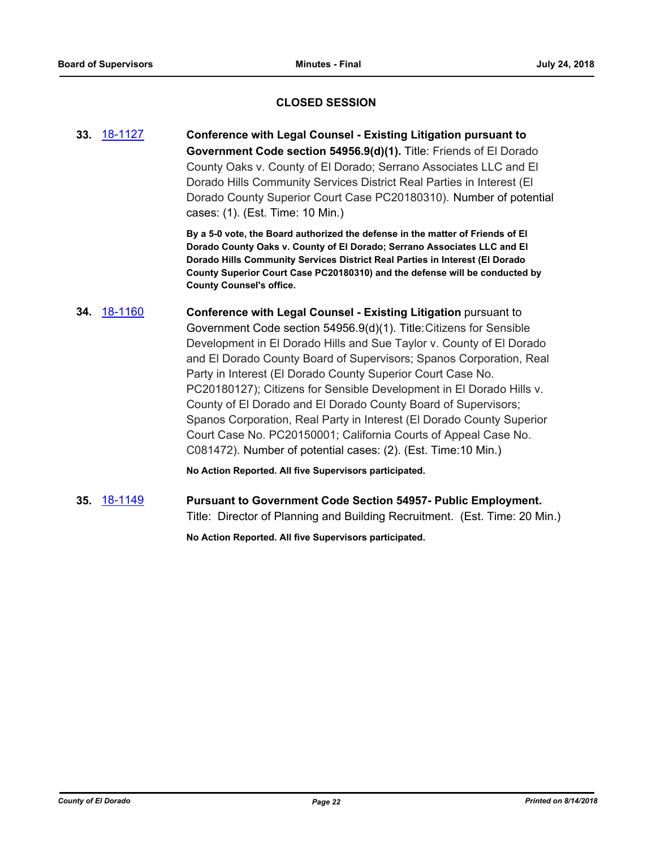#### **CLOSED SESSION**

**33.** [18-1127](http://eldorado.legistar.com/gateway.aspx?m=l&id=/matter.aspx?key=24477) **Conference with Legal Counsel - Existing Litigation pursuant to Government Code section 54956.9(d)(1).** Title: Friends of El Dorado County Oaks v. County of El Dorado; Serrano Associates LLC and El Dorado Hills Community Services District Real Parties in Interest (El Dorado County Superior Court Case PC20180310). Number of potential cases: (1). (Est. Time: 10 Min.)

> **By a 5-0 vote, the Board authorized the defense in the matter of Friends of El Dorado County Oaks v. County of El Dorado; Serrano Associates LLC and El Dorado Hills Community Services District Real Parties in Interest (El Dorado County Superior Court Case PC20180310) and the defense will be conducted by County Counsel's office.**

### **34.** [18-1160](http://eldorado.legistar.com/gateway.aspx?m=l&id=/matter.aspx?key=24510) **Conference with Legal Counsel - Existing Litigation** pursuant to Government Code section 54956.9(d)(1). Title:Citizens for Sensible Development in El Dorado Hills and Sue Taylor v. County of El Dorado and El Dorado County Board of Supervisors; Spanos Corporation, Real Party in Interest (El Dorado County Superior Court Case No. PC20180127); Citizens for Sensible Development in El Dorado Hills v. County of El Dorado and El Dorado County Board of Supervisors; Spanos Corporation, Real Party in Interest (El Dorado County Superior Court Case No. PC20150001; California Courts of Appeal Case No. C081472). Number of potential cases: (2). (Est. Time:10 Min.)

**No Action Reported. All five Supervisors participated.**

**35.** [18-1149](http://eldorado.legistar.com/gateway.aspx?m=l&id=/matter.aspx?key=24499) **Pursuant to Government Code Section 54957- Public Employment.** Title: Director of Planning and Building Recruitment. (Est. Time: 20 Min.)

**No Action Reported. All five Supervisors participated.**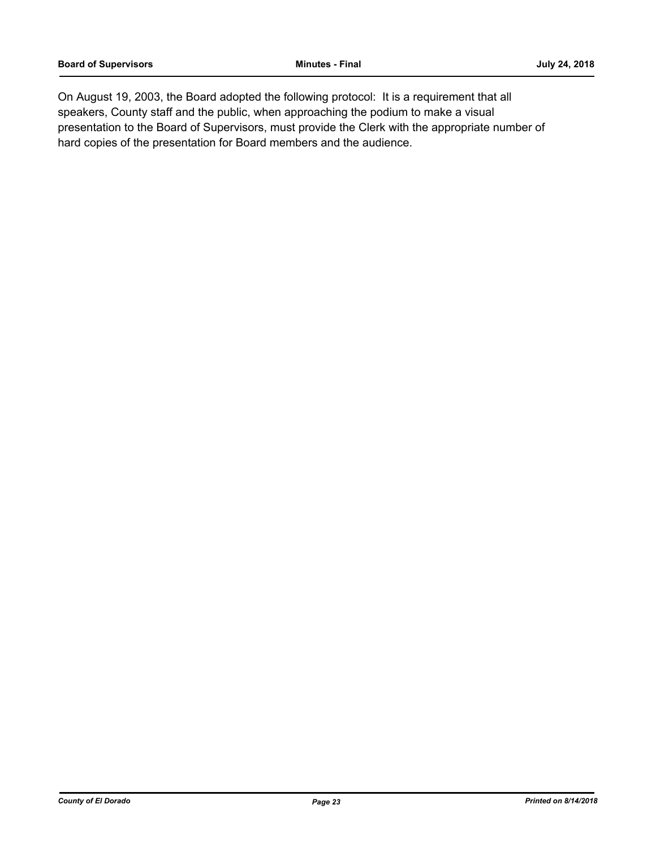On August 19, 2003, the Board adopted the following protocol: It is a requirement that all speakers, County staff and the public, when approaching the podium to make a visual presentation to the Board of Supervisors, must provide the Clerk with the appropriate number of hard copies of the presentation for Board members and the audience.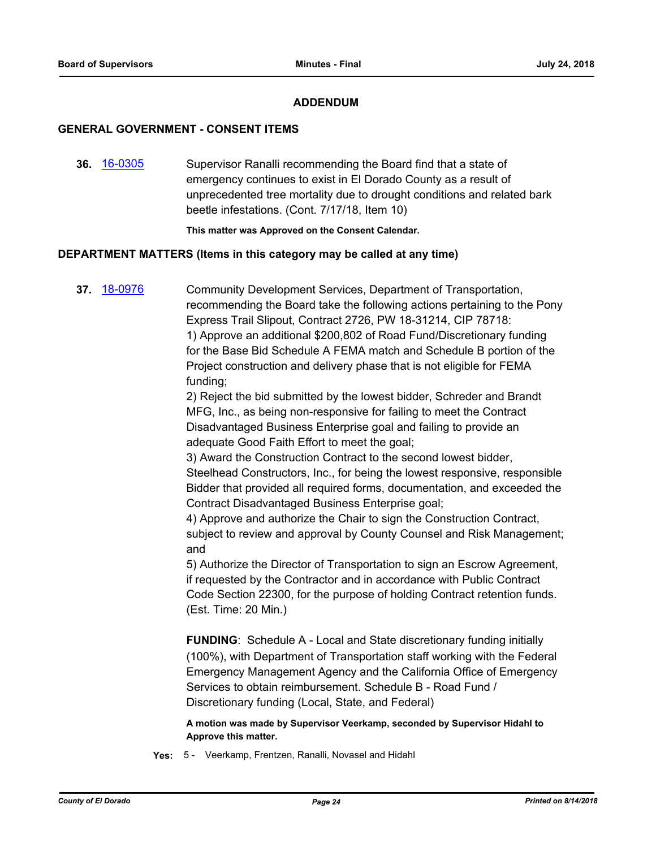#### **ADDENDUM**

#### **GENERAL GOVERNMENT - CONSENT ITEMS**

**36.** [16-0305](http://eldorado.legistar.com/gateway.aspx?m=l&id=/matter.aspx?key=20961) Supervisor Ranalli recommending the Board find that a state of emergency continues to exist in El Dorado County as a result of unprecedented tree mortality due to drought conditions and related bark beetle infestations. (Cont. 7/17/18, Item 10)

**This matter was Approved on the Consent Calendar.**

#### **DEPARTMENT MATTERS (Items in this category may be called at any time)**

**37.** [18-0976](http://eldorado.legistar.com/gateway.aspx?m=l&id=/matter.aspx?key=24324) Community Development Services, Department of Transportation, recommending the Board take the following actions pertaining to the Pony Express Trail Slipout, Contract 2726, PW 18-31214, CIP 78718: 1) Approve an additional \$200,802 of Road Fund/Discretionary funding for the Base Bid Schedule A FEMA match and Schedule B portion of the Project construction and delivery phase that is not eligible for FEMA funding;

> 2) Reject the bid submitted by the lowest bidder, Schreder and Brandt MFG, Inc., as being non-responsive for failing to meet the Contract Disadvantaged Business Enterprise goal and failing to provide an adequate Good Faith Effort to meet the goal;

3) Award the Construction Contract to the second lowest bidder, Steelhead Constructors, Inc., for being the lowest responsive, responsible Bidder that provided all required forms, documentation, and exceeded the Contract Disadvantaged Business Enterprise goal;

4) Approve and authorize the Chair to sign the Construction Contract, subject to review and approval by County Counsel and Risk Management; and

5) Authorize the Director of Transportation to sign an Escrow Agreement, if requested by the Contractor and in accordance with Public Contract Code Section 22300, for the purpose of holding Contract retention funds. (Est. Time: 20 Min.)

**FUNDING**: Schedule A - Local and State discretionary funding initially (100%), with Department of Transportation staff working with the Federal Emergency Management Agency and the California Office of Emergency Services to obtain reimbursement. Schedule B - Road Fund / Discretionary funding (Local, State, and Federal)

**A motion was made by Supervisor Veerkamp, seconded by Supervisor Hidahl to Approve this matter.**